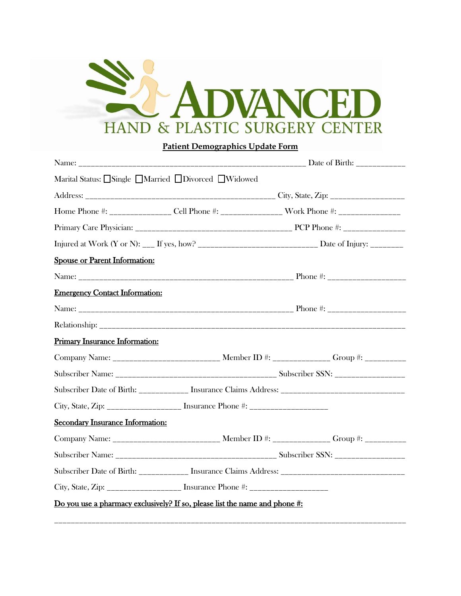

## **Patient Demographics Update Form**

| Marital Status: Single ■Married ■Divorced ■Widowed                                 |  |                                                                                                            |
|------------------------------------------------------------------------------------|--|------------------------------------------------------------------------------------------------------------|
|                                                                                    |  |                                                                                                            |
|                                                                                    |  | Home Phone #: _________________ Cell Phone #: __________________ Work Phone #: ____________________        |
|                                                                                    |  |                                                                                                            |
|                                                                                    |  | Injured at Work (Y or N): ___ If yes, how? _________________________________ Date of Injury: _____________ |
| <b>Spouse or Parent Information:</b>                                               |  |                                                                                                            |
|                                                                                    |  |                                                                                                            |
| <b>Emergency Contact Information:</b>                                              |  |                                                                                                            |
|                                                                                    |  |                                                                                                            |
|                                                                                    |  |                                                                                                            |
| <b>Primary Insurance Information:</b>                                              |  |                                                                                                            |
|                                                                                    |  | Company Name: ___________________________ Member ID #: ______________ Group #: ___________                 |
|                                                                                    |  |                                                                                                            |
|                                                                                    |  | Subscriber Date of Birth: ____________ Insurance Claims Address: __________________________________        |
| City, State, Zip: ____________________ Insurance Phone #: ______________________   |  |                                                                                                            |
| Secondary Insurance Information:                                                   |  |                                                                                                            |
|                                                                                    |  | Company Name: ___________________________ Member ID #: ______________ Group #: ___________                 |
|                                                                                    |  |                                                                                                            |
|                                                                                    |  |                                                                                                            |
| City, State, Zip: ____________________ Insurance Phone #: ______________________   |  |                                                                                                            |
| <u>Do you use a pharmacy exclusively? If so, please list the name and phone #:</u> |  |                                                                                                            |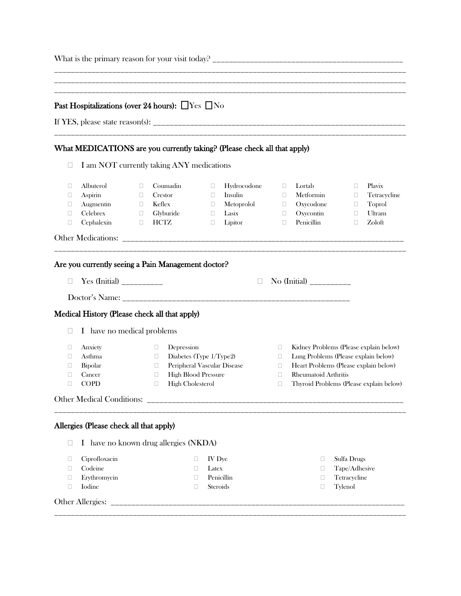|                       | Past Hospitalizations (over 24 hours): $\Box$ Yes $\Box$ No                      |                                           |                                                                                                                                                                  |                                                      |                                                          |                                                |                                                                                                                                                                                                   |                                                         |                                                      |
|-----------------------|----------------------------------------------------------------------------------|-------------------------------------------|------------------------------------------------------------------------------------------------------------------------------------------------------------------|------------------------------------------------------|----------------------------------------------------------|------------------------------------------------|---------------------------------------------------------------------------------------------------------------------------------------------------------------------------------------------------|---------------------------------------------------------|------------------------------------------------------|
|                       | What MEDICATIONS are you currently taking? (Please check all that apply)         |                                           |                                                                                                                                                                  |                                                      |                                                          |                                                |                                                                                                                                                                                                   |                                                         |                                                      |
| u                     | I am NOT currently taking ANY medications                                        |                                           |                                                                                                                                                                  |                                                      |                                                          |                                                |                                                                                                                                                                                                   |                                                         |                                                      |
| □<br>□<br>□<br>□<br>□ | Albuterol<br>Aspirin<br>Augmentin<br>Celebrex<br>Cephalexin                      | □<br>$\Box$<br>$\Box$<br>$\Box$<br>$\Box$ | Coumadin<br>Crestor<br>Keflex<br>Glyburide<br>HCTZ                                                                                                               | $\Box$<br>$\Box$<br>$\Box$<br>$\Box$<br>$\Box$       | Hydrocodone<br>Insulin<br>Metoprolol<br>Lasix<br>Lipitor | $\Box$<br>$\Box$<br>$\Box$<br>$\Box$<br>$\Box$ | Lortab<br>Metformin<br>Oxycodone<br>Oxycontin<br>Penicillin                                                                                                                                       | $\Box$<br>$\Box$<br>$\Box$<br>$\Box$<br>$\Box$          | Plavix<br>Tetracycline<br>Toprol<br>Ultram<br>Zoloft |
|                       |                                                                                  |                                           |                                                                                                                                                                  |                                                      |                                                          |                                                |                                                                                                                                                                                                   |                                                         |                                                      |
|                       | Are you currently seeing a Pain Management doctor?                               |                                           |                                                                                                                                                                  |                                                      |                                                          |                                                |                                                                                                                                                                                                   |                                                         |                                                      |
| $\Box$                |                                                                                  |                                           |                                                                                                                                                                  |                                                      | $\Box$                                                   |                                                | No (Initial) ___________                                                                                                                                                                          |                                                         |                                                      |
|                       |                                                                                  |                                           |                                                                                                                                                                  |                                                      |                                                          |                                                |                                                                                                                                                                                                   |                                                         |                                                      |
|                       | Medical History (Please check all that apply)                                    |                                           |                                                                                                                                                                  |                                                      |                                                          |                                                |                                                                                                                                                                                                   |                                                         |                                                      |
| u                     | I have no medical problems                                                       |                                           |                                                                                                                                                                  |                                                      |                                                          |                                                |                                                                                                                                                                                                   |                                                         |                                                      |
| □<br>□<br>□<br>□<br>□ | Anxiety<br>Asthma<br>Bipolar<br>Cancer<br><b>COPD</b>                            |                                           | Depression<br>$\Box$<br>Diabetes (Type 1/Type2)<br>$\Box$<br>Peripheral Vascular Disease<br>u<br><b>High Blood Pressure</b><br>Ш<br><b>High Cholesterol</b><br>□ |                                                      |                                                          | $\Box$<br>$\Box$<br>□<br>□<br>□                | Kidney Problems (Please explain below)<br>Lung Problems (Please explain below)<br>Heart Problems (Please explain below)<br><b>Rheumatoid Arthritis</b><br>Thyroid Problems (Please explain below) |                                                         |                                                      |
|                       |                                                                                  |                                           |                                                                                                                                                                  |                                                      |                                                          |                                                |                                                                                                                                                                                                   |                                                         |                                                      |
| $\Box$                | Allergies (Please check all that apply)<br>I have no known drug allergies (NKDA) |                                           |                                                                                                                                                                  |                                                      |                                                          |                                                |                                                                                                                                                                                                   |                                                         |                                                      |
| □<br>□<br>□<br>□      | Ciprofloxacin<br>Codeine<br>Erythromycin<br>Iodine                               |                                           |                                                                                                                                                                  | IV Dye<br>□<br>Latex<br>□<br>□<br>Steroids<br>$\Box$ | Penicillin                                               |                                                | □<br>□<br>□<br>□                                                                                                                                                                                  | Sulfa Drugs<br>Tape/Adhesive<br>Tetracycline<br>Tylenol |                                                      |
|                       |                                                                                  |                                           |                                                                                                                                                                  |                                                      |                                                          |                                                |                                                                                                                                                                                                   |                                                         |                                                      |
|                       |                                                                                  |                                           |                                                                                                                                                                  |                                                      |                                                          |                                                |                                                                                                                                                                                                   |                                                         |                                                      |